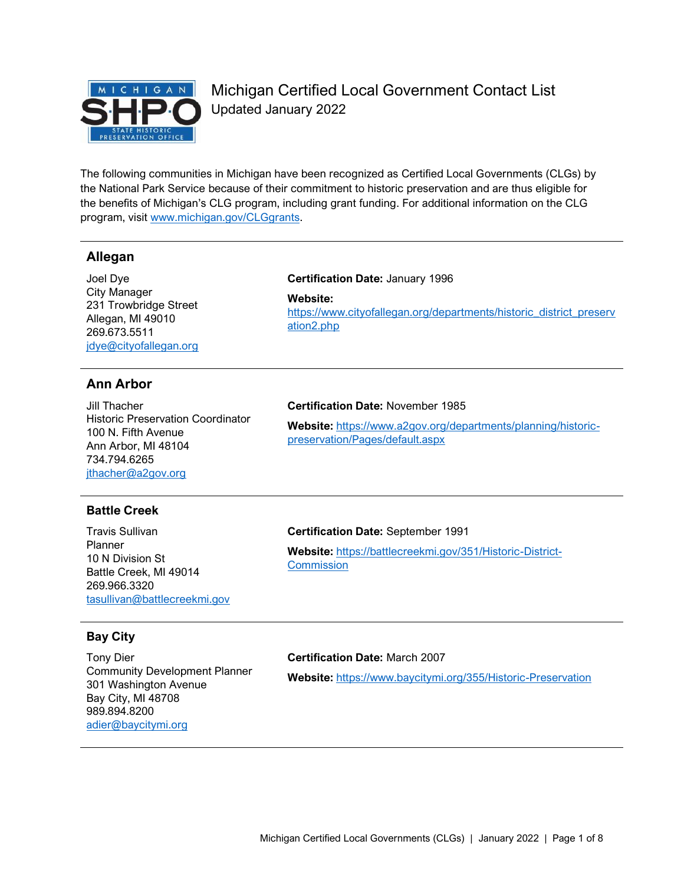

Michigan Certified Local Government Contact List Updated January 2022

The following communities in Michigan have been recognized as Certified Local Governments (CLGs) by the National Park Service because of their commitment to historic preservation and are thus eligible for the benefits of Michigan's CLG program, including grant funding. For additional information on the CLG program, visit [www.michigan.gov/CLGgrants.](http://www.michigan.gov/CLGgrants)

# **Allegan**

Joel Dye City Manager 231 Trowbridge Street Allegan, MI 49010 269.673.5511 [jdye@cityofallegan.org](mailto:jdye@cityofallegan.org)

# **Ann Arbor**

Jill Thacher Historic Preservation Coordinator 100 N. Fifth Avenue Ann Arbor, MI 48104 734.794.6265 [jthacher@a2gov.org](mailto:jthacher@a2gov.org)

# **Battle Creek**

Travis Sullivan Planner 10 N Division St Battle Creek, MI 49014 269.966.3320 [tasullivan@battlecreekmi.gov](mailto:tasullivan@battlecreekmi.gov)

# **Bay City**

Tony Dier Community Development Planner 301 Washington Avenue Bay City, MI 48708 989.894.8200 [adier@baycitymi.org](mailto:adier@baycitymi.org)

# **Certification Date:** January 1996

**Website:**  [https://www.cityofallegan.org/departments/historic\\_district\\_preserv](https://www.cityofallegan.org/departments/historic_district_preservation2.php) [ation2.php](https://www.cityofallegan.org/departments/historic_district_preservation2.php)

# **Certification Date:** November 1985

**Website:** [https://www.a2gov.org/departments/planning/historic](https://www.a2gov.org/departments/planning/historic-preservation/Pages/default.aspx)[preservation/Pages/default.aspx](https://www.a2gov.org/departments/planning/historic-preservation/Pages/default.aspx)

# **Certification Date:** September 1991

**Website:** [https://battlecreekmi.gov/351/Historic-District-](https://battlecreekmi.gov/351/Historic-District-Commission)**[Commission](https://battlecreekmi.gov/351/Historic-District-Commission)** 

# **Certification Date:** March 2007

**Website:** <https://www.baycitymi.org/355/Historic-Preservation>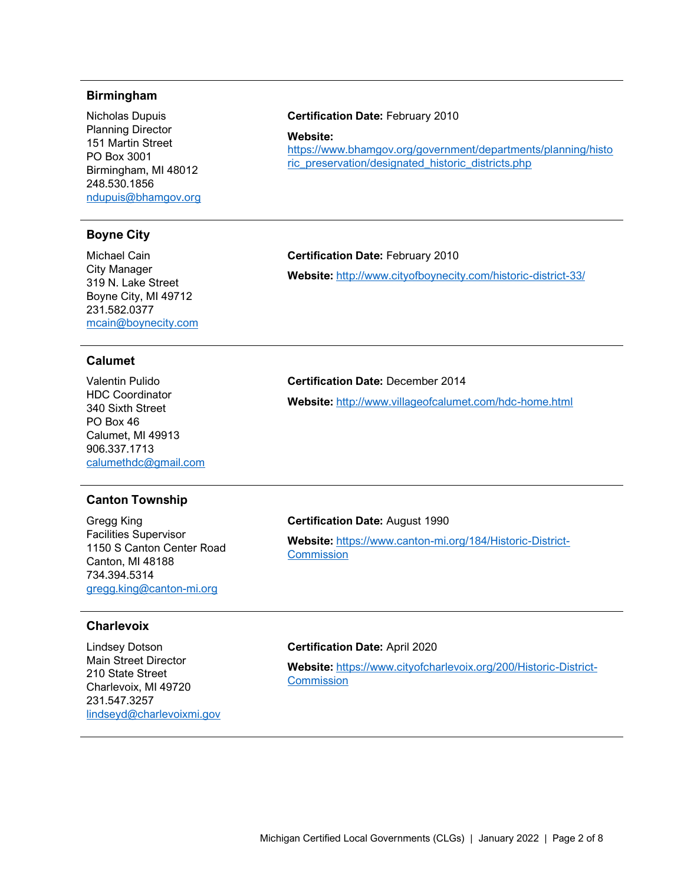# **Birmingham**

Nicholas Dupuis Planning Director 151 Martin Street PO Box 3001 Birmingham, MI 48012 248.530.1856 [ndupuis@bhamgov.org](mailto:ndupuis@bhamgov.org)

# **Boyne City**

Michael Cain City Manager 319 N. Lake Street Boyne City, MI 49712 231.582.0377 [mcain@boynecity.com](mailto:mcain@boynecity.com)

# **Calumet**

Valentin Pulido HDC Coordinator 340 Sixth Street PO Box 46 Calumet, MI 49913 906.337.1713 [calumethdc@gmail.com](mailto:calumethdc@gmail.com)

# **Canton Township**

Gregg King Facilities Supervisor 1150 S Canton Center Road Canton, MI 48188 734.394.5314 [gregg.king@canton-mi.org](mailto:gregg.king@canton-mi.org)

# **Charlevoix**

Lindsey Dotson Main Street Director 210 State Street Charlevoix, MI 49720 231.547.3257 [lindseyd@charlevoixmi.gov](mailto:lindseyd@charlevoixmi.gov)

# **Certification Date:** February 2010

**Website:** 

[https://www.bhamgov.org/government/departments/planning/histo](https://www.bhamgov.org/government/departments/planning/historic_preservation/designated_historic_districts.php) [ric\\_preservation/designated\\_historic\\_districts.php](https://www.bhamgov.org/government/departments/planning/historic_preservation/designated_historic_districts.php)

# **Certification Date:** February 2010

**Website:** <http://www.cityofboynecity.com/historic-district-33/>

# **Certification Date:** December 2014

**Website:** <http://www.villageofcalumet.com/hdc-home.html>

## **Certification Date:** August 1990

**Website:** [https://www.canton-mi.org/184/Historic-District-](https://www.canton-mi.org/184/Historic-District-Commission)**[Commission](https://www.canton-mi.org/184/Historic-District-Commission)** 

# **Certification Date:** April 2020

**Website:** [https://www.cityofcharlevoix.org/200/Historic-District-](https://www.cityofcharlevoix.org/200/Historic-District-Commission)**[Commission](https://www.cityofcharlevoix.org/200/Historic-District-Commission)**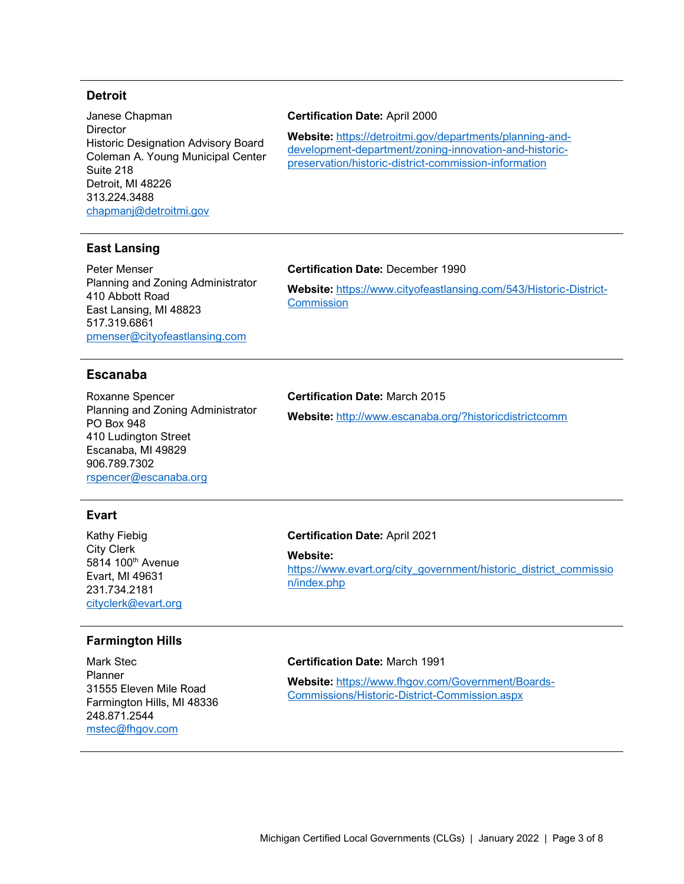# **Detroit**

Janese Chapman **Director** Historic Designation Advisory Board Coleman A. Young Municipal Center Suite 218 Detroit, MI 48226 313.224.3488 [chapmanj@detroitmi.gov](mailto:chapmanj@detroitmi.gov)

#### **Certification Date:** April 2000

**Website:** [https://detroitmi.gov/departments/planning-and](https://detroitmi.gov/departments/planning-and-development-department/zoning-innovation-and-historic-preservation/historic-district-commission-information)[development-department/zoning-innovation-and-historic](https://detroitmi.gov/departments/planning-and-development-department/zoning-innovation-and-historic-preservation/historic-district-commission-information)[preservation/historic-district-commission-information](https://detroitmi.gov/departments/planning-and-development-department/zoning-innovation-and-historic-preservation/historic-district-commission-information)

# **East Lansing**

Peter Menser Planning and Zoning Administrator 410 Abbott Road East Lansing, MI 48823 517.319.6861 [pmenser@cityofeastlansing.com](mailto:pmenser@cityofeastlansing.com)

# **Certification Date:** December 1990

**Website:** [https://www.cityofeastlansing.com/543/Historic-District-](https://www.cityofeastlansing.com/543/Historic-District-Commission)**[Commission](https://www.cityofeastlansing.com/543/Historic-District-Commission)** 

# **Escanaba**

Roxanne Spencer Planning and Zoning Administrator PO Box 948 410 Ludington Street Escanaba, MI 49829 906.789.7302 [rspencer@escanaba.org](mailto:rspencer@escanaba.org)

# **Certification Date:** March 2015

**Website:** <http://www.escanaba.org/?historicdistrictcomm>

# **Evart**

Kathy Fiebig City Clerk 5814 100th Avenue Evart, MI 49631 231.734.2181 [cityclerk@evart.org](mailto:cityclerk@evart.org)

# **Farmington Hills**

Mark Stec Planner 31555 Eleven Mile Road Farmington Hills, MI 48336 248.871.2544 [mstec@fhgov.com](mailto:mstec@fhgov.com)

#### **Certification Date:** April 2021

#### **Website:**

[https://www.evart.org/city\\_government/historic\\_district\\_commissio](https://www.evart.org/city_government/historic_district_commission/index.php) [n/index.php](https://www.evart.org/city_government/historic_district_commission/index.php)

#### **Certification Date:** March 1991

**Website:** [https://www.fhgov.com/Government/Boards-](https://www.fhgov.com/Government/Boards-Commissions/Historic-District-Commission.aspx)[Commissions/Historic-District-Commission.aspx](https://www.fhgov.com/Government/Boards-Commissions/Historic-District-Commission.aspx)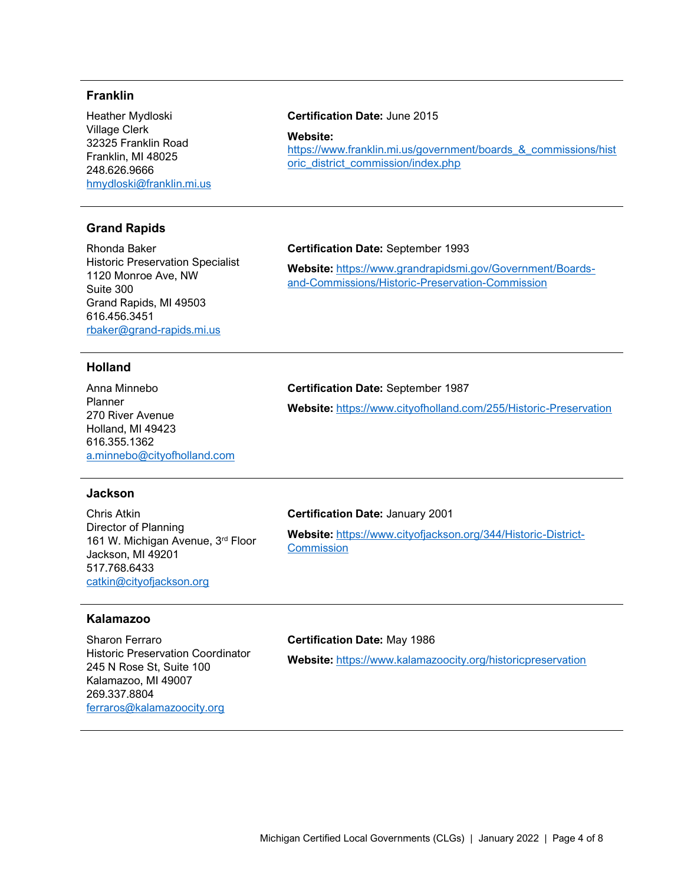# **Franklin**

Heather Mydloski Village Clerk 32325 Franklin Road Franklin, MI 48025 248.626.9666 [hmydloski@franklin.mi.us](mailto:hmydloski@franklin.mi.us)

# **Grand Rapids**

Rhonda Baker Historic Preservation Specialist 1120 Monroe Ave, NW Suite 300 Grand Rapids, MI 49503 616.456.3451 [rbaker@grand-rapids.mi.us](mailto:rbaker@grand-rapids.mi.us)

[oric\\_district\\_commission/index.php](https://www.franklin.mi.us/government/boards_&_commissions/historic_district_commission/index.php)

**Certification Date:** June 2015

**Website:** 

# **Certification Date:** September 1993

**Website:** [https://www.grandrapidsmi.gov/Government/Boards](https://www.grandrapidsmi.gov/Government/Boards-and-Commissions/Historic-Preservation-Commission)[and-Commissions/Historic-Preservation-Commission](https://www.grandrapidsmi.gov/Government/Boards-and-Commissions/Historic-Preservation-Commission)

[https://www.franklin.mi.us/government/boards\\_&\\_commissions/hist](https://www.franklin.mi.us/government/boards_&_commissions/historic_district_commission/index.php)

# **Holland**

Anna Minnebo Planner 270 River Avenue Holland, MI 49423 616.355.1362 [a.minnebo@cityofholland.com](mailto:a.minnebo@cityofholland.com)

# **Certification Date:** September 1987

**Website:** <https://www.cityofholland.com/255/Historic-Preservation>

#### **Jackson**

Chris Atkin Director of Planning 161 W. Michigan Avenue, 3rd Floor Jackson, MI 49201 517.768.6433 [catkin@cityofjackson.org](mailto:catkin@cityofjackson.org)

#### **Certification Date:** January 2001

**Website:** [https://www.cityofjackson.org/344/Historic-District-](https://www.cityofjackson.org/344/Historic-District-Commission)**[Commission](https://www.cityofjackson.org/344/Historic-District-Commission)** 

# **Kalamazoo**

Sharon Ferraro Historic Preservation Coordinator 245 N Rose St, Suite 100 Kalamazoo, MI 49007 269.337.8804 [ferraros@kalamazoocity.org](mailto:ferraros@kalamazoocity.org)

# **Certification Date:** May 1986

**Website:** <https://www.kalamazoocity.org/historicpreservation>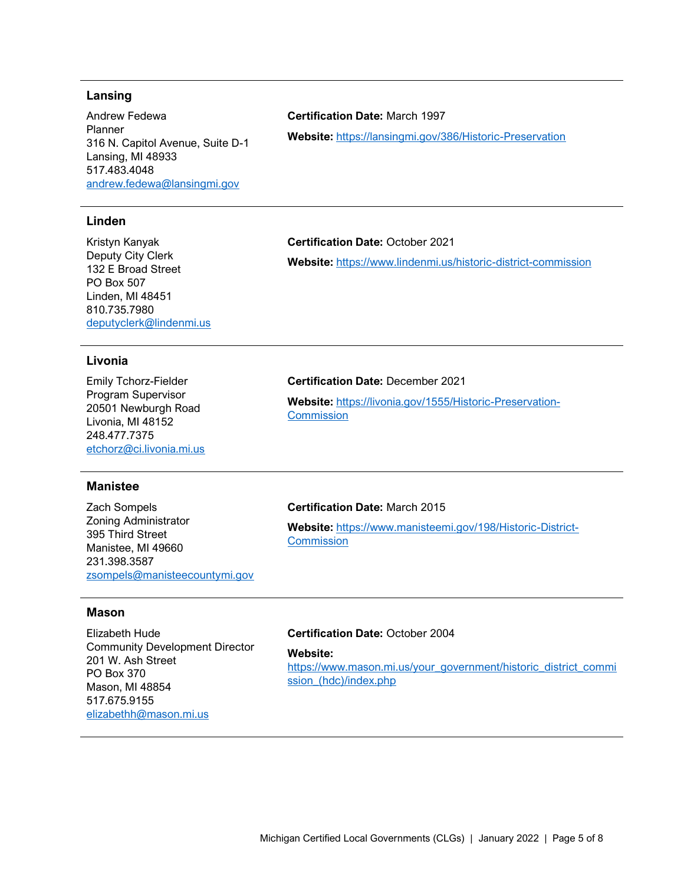# **Lansing**

Andrew Fedewa Planner 316 N. Capitol Avenue, Suite D-1 Lansing, MI 48933 517.483.4048 [andrew.fedewa@lansingmi.gov](mailto:andrew.fedewa@lansingmi.gov)

# **Linden**

Kristyn Kanyak Deputy City Clerk 132 E Broad Street PO Box 507 Linden, MI 48451 810.735.7980 [deputyclerk@lindenmi.us](mailto:deputyclerk@lindenmi.us)

# **Livonia**

Emily Tchorz-Fielder Program Supervisor 20501 Newburgh Road Livonia, MI 48152 248.477.7375 [etchorz@ci.livonia.mi.us](mailto:etchorz@ci.livonia.mi.us)

# **Manistee**

Zach Sompels Zoning Administrator 395 Third Street Manistee, MI 49660 231.398.3587 [zsompels@manisteecountymi.gov](mailto:zsompels@manisteecountymi.gov)

# **Certification Date:** March 1997

**Website:** <https://lansingmi.gov/386/Historic-Preservation>

#### **Certification Date:** October 2021

**Website:** <https://www.lindenmi.us/historic-district-commission>

# **Certification Date:** December 2021

**Website:** [https://livonia.gov/1555/Historic-Preservation-](https://livonia.gov/1555/Historic-Preservation-Commission)**[Commission](https://livonia.gov/1555/Historic-Preservation-Commission)** 

# **Certification Date:** March 2015

**Website:** [https://www.manisteemi.gov/198/Historic-District-](https://www.manisteemi.gov/198/Historic-District-Commission)**[Commission](https://www.manisteemi.gov/198/Historic-District-Commission)** 

#### **Mason**

Elizabeth Hude Community Development Director 201 W. Ash Street PO Box 370 Mason, MI 48854 517.675.9155 [elizabethh@mason.mi.us](mailto:elizabethh@mason.mi.us)

# **Certification Date:** October 2004

**Website:** 

[https://www.mason.mi.us/your\\_government/historic\\_district\\_commi](https://www.mason.mi.us/your_government/historic_district_commission_(hdc)/index.php) ssion (hdc)/index.php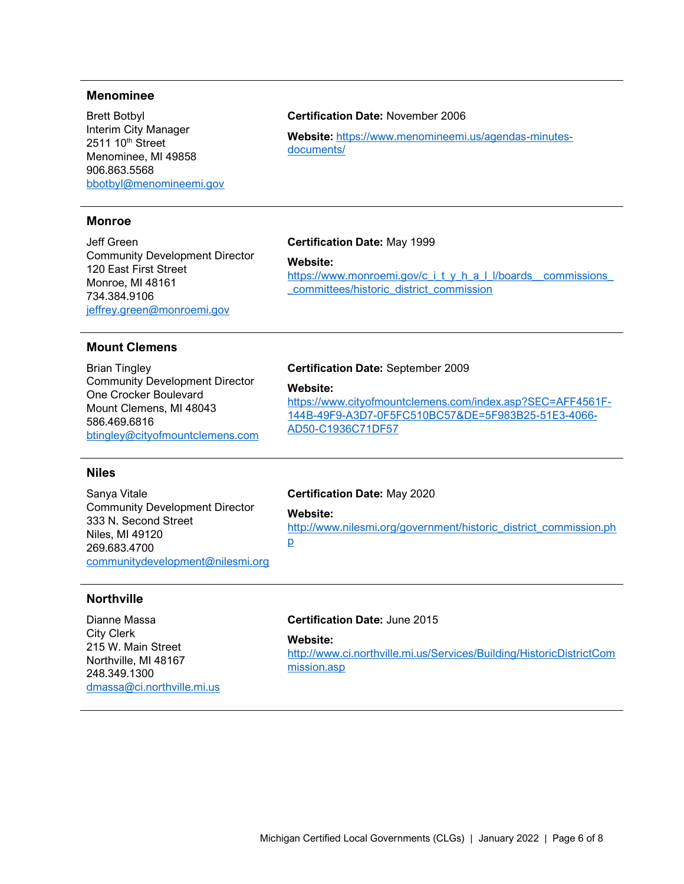# **Menominee**

Brett Botbyl Interim City Manager 2511 10<sup>th</sup> Street Menominee, MI 49858 906.863.5568 [bbotbyl@menomineemi.gov](mailto:bbotbyl@menomineemi.gov)

# **Monroe**

Jeff Green Community Development Director 120 East First Street Monroe, MI 48161 734.384.9106 [jeffrey.green@monroemi.gov](mailto:jeffrey.green@monroemi.gov)

# **Certification Date:** November 2006

**Website:** [https://www.menomineemi.us/agendas-minutes](https://www.menomineemi.us/agendas-minutes-documents/)[documents/](https://www.menomineemi.us/agendas-minutes-documents/)

#### **Certification Date:** May 1999

**Website:** 

https://www.monroemi.gov/c\_i\_t\_y\_h\_a\_l\_l/boards\_commissions\_ [\\_committees/historic\\_district\\_commission](https://www.monroemi.gov/c_i_t_y_h_a_l_l/boards__commissions__committees/historic_district_commission)

# **Mount Clemens**

Brian Tingley Community Development Director One Crocker Boulevard Mount Clemens, MI 48043 586.469.6816 [btingley@cityofmountclemens.com](mailto:btingley@cityofmountclemens.com)

# **Certification Date:** September 2009

#### **Website:**

[https://www.cityofmountclemens.com/index.asp?SEC=AFF4561F-](https://www.cityofmountclemens.com/index.asp?SEC=AFF4561F-144B-49F9-A3D7-0F5FC510BC57&DE=5F983B25-51E3-4066-AD50-C1936C71DF57)[144B-49F9-A3D7-0F5FC510BC57&DE=5F983B25-51E3-4066-](https://www.cityofmountclemens.com/index.asp?SEC=AFF4561F-144B-49F9-A3D7-0F5FC510BC57&DE=5F983B25-51E3-4066-AD50-C1936C71DF57) [AD50-C1936C71DF57](https://www.cityofmountclemens.com/index.asp?SEC=AFF4561F-144B-49F9-A3D7-0F5FC510BC57&DE=5F983B25-51E3-4066-AD50-C1936C71DF57)

# **Niles**

Sanya Vitale Community Development Director 333 N. Second Street Niles, MI 49120 269.683.4700 [communitydevelopment@nilesmi.org](mailto:communitydevelopment@nilesmi.org)

#### **Certification Date:** May 2020

**Website:** 

[http://www.nilesmi.org/government/historic\\_district\\_commission.ph](http://www.nilesmi.org/government/historic_district_commission.php) [p](http://www.nilesmi.org/government/historic_district_commission.php)

## **Northville**

Dianne Massa City Clerk 215 W. Main Street Northville, MI 48167 248.349.1300 [dmassa@ci.northville.mi.us](mailto:dmassa@ci.northville.mi.us)

# **Certification Date:** June 2015

## **Website:**

[http://www.ci.northville.mi.us/Services/Building/HistoricDistrictCom](http://www.ci.northville.mi.us/Services/Building/HistoricDistrictCommission.asp) [mission.asp](http://www.ci.northville.mi.us/Services/Building/HistoricDistrictCommission.asp)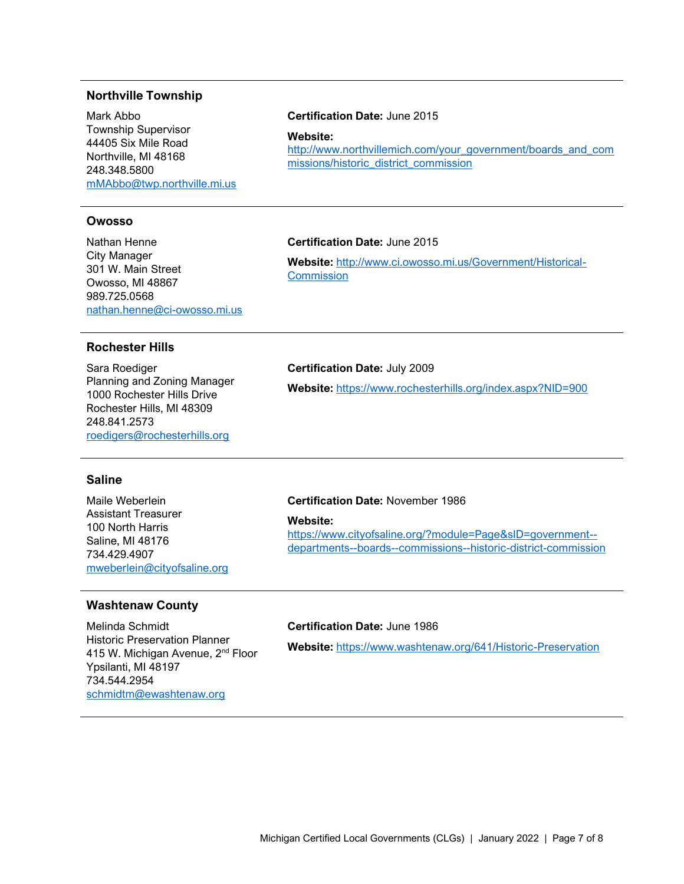# **Northville Township**

Mark Abbo Township Supervisor 44405 Six Mile Road Northville, MI 48168 248.348.5800 [mMAbbo@twp.northville.mi.us](mailto:mMAbbo@twp.northville.mi.us)

#### **Owosso**

Nathan Henne City Manager 301 W. Main Street Owosso, MI 48867 989.725.0568 [nathan.henne@ci-owosso.mi.us](mailto:nathan.henne@ci-owosso.mi.us)

#### **Rochester Hills**

Sara Roediger Planning and Zoning Manager 1000 Rochester Hills Drive Rochester Hills, MI 48309 248.841.2573 [roedigers@rochesterhills.org](mailto:roedigers@rochesterhills.org)

# **Certification Date:** June 2015

**Website:**  [http://www.northvillemich.com/your\\_government/boards\\_and\\_com](http://www.northvillemich.com/your_government/boards_and_commissions/historic_district_commission) [missions/historic\\_district\\_commission](http://www.northvillemich.com/your_government/boards_and_commissions/historic_district_commission)

#### **Certification Date:** June 2015

**Website:** [http://www.ci.owosso.mi.us/Government/Historical-](http://www.ci.owosso.mi.us/Government/Historical-Commission)**[Commission](http://www.ci.owosso.mi.us/Government/Historical-Commission)** 

#### **Certification Date:** July 2009

**Website:** <https://www.rochesterhills.org/index.aspx?NID=900>

# **Saline**

Maile Weberlein Assistant Treasurer 100 North Harris Saline, MI 48176 734.429.4907 [mweberlein@cityofsaline.org](mailto:mweberlein@cityofsaline.org)

# **Washtenaw County**

Melinda Schmidt Historic Preservation Planner 415 W. Michigan Avenue, 2<sup>nd</sup> Floor Ypsilanti, MI 48197 734.544.2954 [schmidtm@ewashtenaw.org](mailto:schmidtm@ewashtenaw.org)

### **Certification Date:** November 1986

**Website:** 

[https://www.cityofsaline.org/?module=Page&sID=government-](https://www.cityofsaline.org/?module=Page&sID=government--departments--boards--commissions--historic-district-commission) [departments--boards--commissions--historic-district-commission](https://www.cityofsaline.org/?module=Page&sID=government--departments--boards--commissions--historic-district-commission)

# **Certification Date:** June 1986

**Website:** <https://www.washtenaw.org/641/Historic-Preservation>